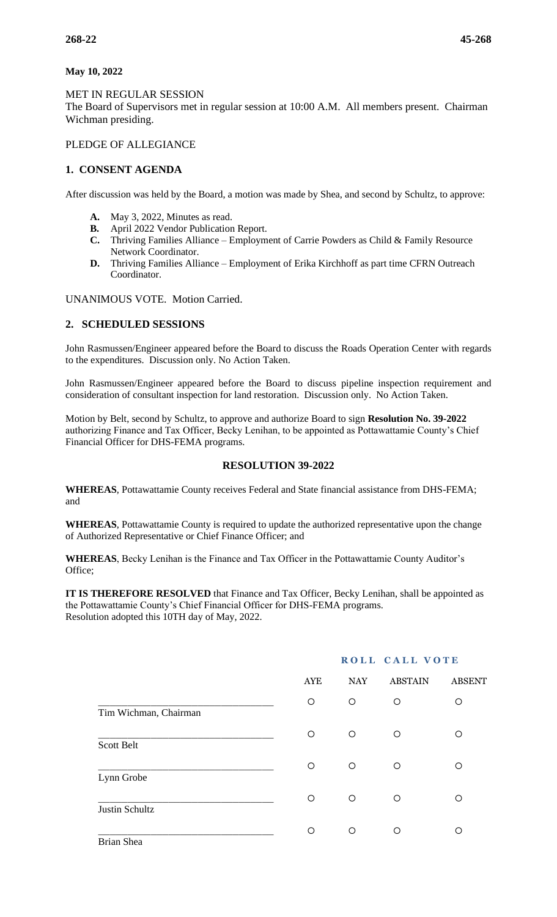#### **May 10, 2022**

#### MET IN REGULAR SESSION

The Board of Supervisors met in regular session at 10:00 A.M. All members present. Chairman Wichman presiding.

# PLEDGE OF ALLEGIANCE

## **1. CONSENT AGENDA**

After discussion was held by the Board, a motion was made by Shea, and second by Schultz, to approve:

- **A.** May 3, 2022, Minutes as read.
- **B.** April 2022 Vendor Publication Report.
- **C.** Thriving Families Alliance Employment of Carrie Powders as Child & Family Resource Network Coordinator.
- **D.** Thriving Families Alliance Employment of Erika Kirchhoff as part time CFRN Outreach Coordinator.

UNANIMOUS VOTE. Motion Carried.

### **2. SCHEDULED SESSIONS**

John Rasmussen/Engineer appeared before the Board to discuss the Roads Operation Center with regards to the expenditures. Discussion only. No Action Taken.

John Rasmussen/Engineer appeared before the Board to discuss pipeline inspection requirement and consideration of consultant inspection for land restoration. Discussion only. No Action Taken.

Motion by Belt, second by Schultz, to approve and authorize Board to sign **Resolution No. 39-2022** authorizing Finance and Tax Officer, Becky Lenihan, to be appointed as Pottawattamie County's Chief Financial Officer for DHS-FEMA programs.

### **RESOLUTION 39-2022**

**WHEREAS**, Pottawattamie County receives Federal and State financial assistance from DHS-FEMA; and

**WHEREAS**, Pottawattamie County is required to update the authorized representative upon the change of Authorized Representative or Chief Finance Officer; and

**WHEREAS**, Becky Lenihan is the Finance and Tax Officer in the Pottawattamie County Auditor's Office;

**IT IS THEREFORE RESOLVED** that Finance and Tax Officer, Becky Lenihan, shall be appointed as the Pottawattamie County's Chief Financial Officer for DHS-FEMA programs. Resolution adopted this 10TH day of May, 2022.

|                       | <b>AYE</b> | <b>NAY</b> | <b>ABSTAIN</b> | <b>ABSENT</b> |
|-----------------------|------------|------------|----------------|---------------|
| Tim Wichman, Chairman | $\circ$    | $\circ$    | O              | O             |
| Scott Belt            | $\bigcirc$ | O          | $\circ$        | O             |
| Lynn Grobe            | O          | O          | O              | ∩             |
| Justin Schultz        | $\bigcirc$ | O          | $\circ$        | Ω             |
| Brian Shea            | O          | $\circ$    | O              | O             |

# **ROLL CALL VOTE**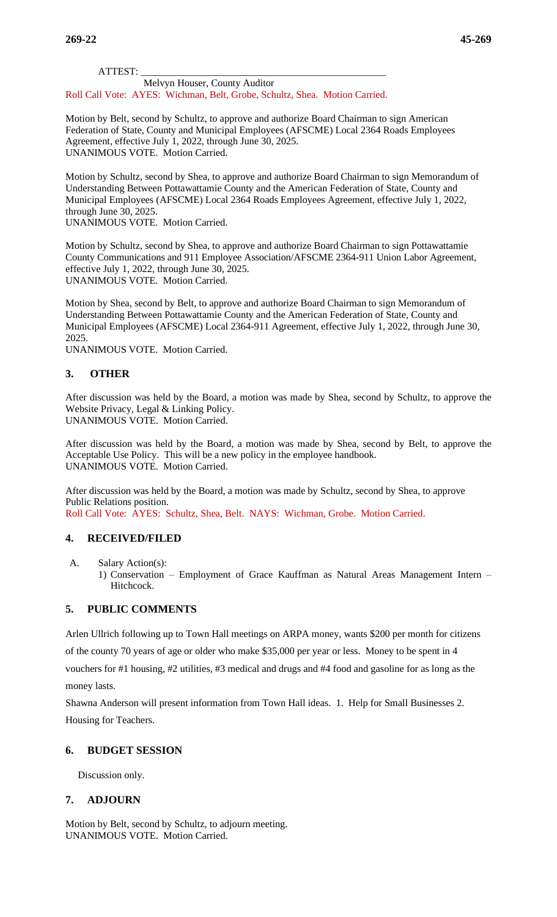**269-22 45-269**

ATTEST: \_\_\_\_\_\_\_\_\_\_\_\_\_\_\_\_\_\_\_\_\_\_\_\_\_\_\_\_\_\_\_\_\_\_\_\_\_\_\_\_\_\_\_\_\_\_\_\_\_

 Melvyn Houser, County Auditor Roll Call Vote: AYES: Wichman, Belt, Grobe, Schultz, Shea. Motion Carried.

Motion by Belt, second by Schultz, to approve and authorize Board Chairman to sign American Federation of State, County and Municipal Employees (AFSCME) Local 2364 Roads Employees Agreement, effective July 1, 2022, through June 30, 2025. UNANIMOUS VOTE. Motion Carried.

Motion by Schultz, second by Shea, to approve and authorize Board Chairman to sign Memorandum of Understanding Between Pottawattamie County and the American Federation of State, County and Municipal Employees (AFSCME) Local 2364 Roads Employees Agreement, effective July 1, 2022, through June 30, 2025. UNANIMOUS VOTE. Motion Carried.

Motion by Schultz, second by Shea, to approve and authorize Board Chairman to sign Pottawattamie County Communications and 911 Employee Association/AFSCME 2364-911 Union Labor Agreement, effective July 1, 2022, through June 30, 2025. UNANIMOUS VOTE. Motion Carried.

Motion by Shea, second by Belt, to approve and authorize Board Chairman to sign Memorandum of Understanding Between Pottawattamie County and the American Federation of State, County and Municipal Employees (AFSCME) Local 2364-911 Agreement, effective July 1, 2022, through June 30, 2025.

UNANIMOUS VOTE. Motion Carried.

# **3. OTHER**

After discussion was held by the Board, a motion was made by Shea, second by Schultz, to approve the Website Privacy, Legal & Linking Policy.

UNANIMOUS VOTE. Motion Carried.

After discussion was held by the Board, a motion was made by Shea, second by Belt, to approve the Acceptable Use Policy. This will be a new policy in the employee handbook. UNANIMOUS VOTE. Motion Carried.

After discussion was held by the Board, a motion was made by Schultz, second by Shea, to approve Public Relations position. Roll Call Vote: AYES: Schultz, Shea, Belt. NAYS: Wichman, Grobe. Motion Carried.

### **4. RECEIVED/FILED**

- A. Salary Action(s):
	- 1) Conservation Employment of Grace Kauffman as Natural Areas Management Intern Hitchcock.

### **5. PUBLIC COMMENTS**

Arlen Ullrich following up to Town Hall meetings on ARPA money, wants \$200 per month for citizens of the county 70 years of age or older who make \$35,000 per year or less. Money to be spent in 4 vouchers for #1 housing, #2 utilities, #3 medical and drugs and #4 food and gasoline for as long as the money lasts.

Shawna Anderson will present information from Town Hall ideas. 1. Help for Small Businesses 2. Housing for Teachers.

### **6. BUDGET SESSION**

Discussion only.

### **7. ADJOURN**

Motion by Belt, second by Schultz, to adjourn meeting. UNANIMOUS VOTE. Motion Carried.